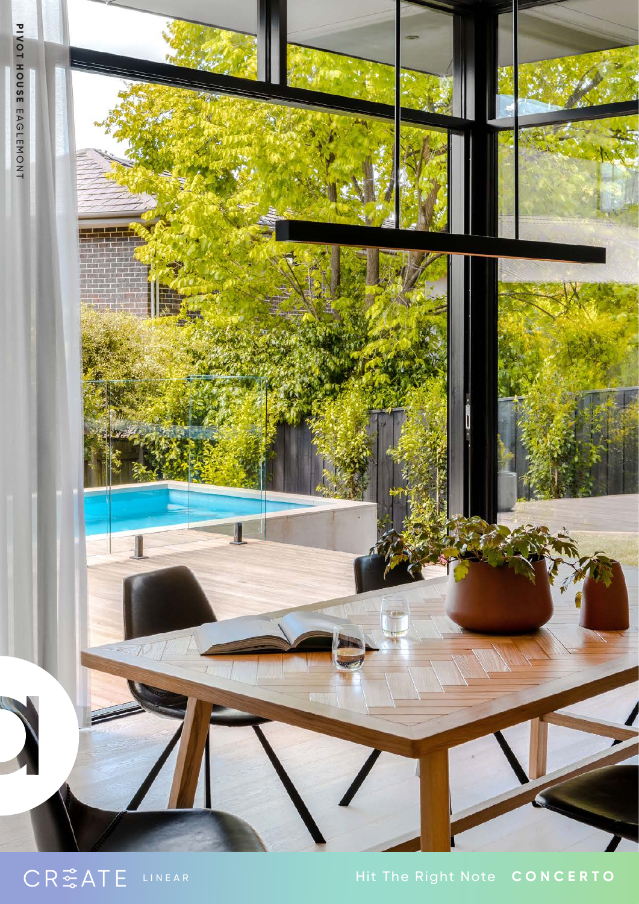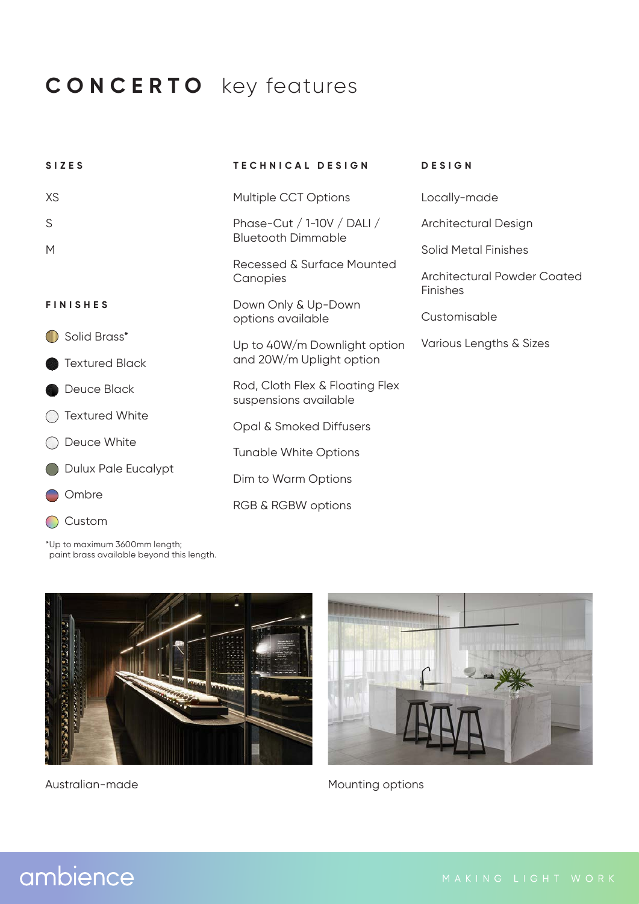## **CONCERTO** key features

| <b>SIZES</b>          | TECHNICAL DESIGN                                         | <b>DESIGN</b>                                  |
|-----------------------|----------------------------------------------------------|------------------------------------------------|
| XS                    | Multiple CCT Options                                     | Locally-made                                   |
| S                     | Phase-Cut / 1-10V / DALI /<br><b>Bluetooth Dimmable</b>  | Architectural Design                           |
| M                     | Recessed & Surface Mounted<br>Canopies                   | <b>Solid Metal Finishes</b>                    |
|                       |                                                          | Architectural Powder Coated<br><b>Finishes</b> |
| <b>FINISHES</b>       | Down Only & Up-Down<br>options available                 | Customisable                                   |
| Solid Brass*          | Up to 40W/m Downlight option<br>and 20W/m Uplight option | Various Lengths & Sizes                        |
| <b>Textured Black</b> |                                                          |                                                |
| Deuce Black           | Rod, Cloth Flex & Floating Flex<br>suspensions available |                                                |
| <b>Textured White</b> | Opal & Smoked Diffusers                                  |                                                |
| Deuce White           | <b>Tunable White Options</b>                             |                                                |
| Dulux Pale Eucalypt   | Dim to Warm Options                                      |                                                |
| Ombre                 | RGB & RGBW options                                       |                                                |
| Custom                |                                                          |                                                |

\*Up to maximum 3600mm length; paint brass available beyond this length.





Australian-made Mounting options

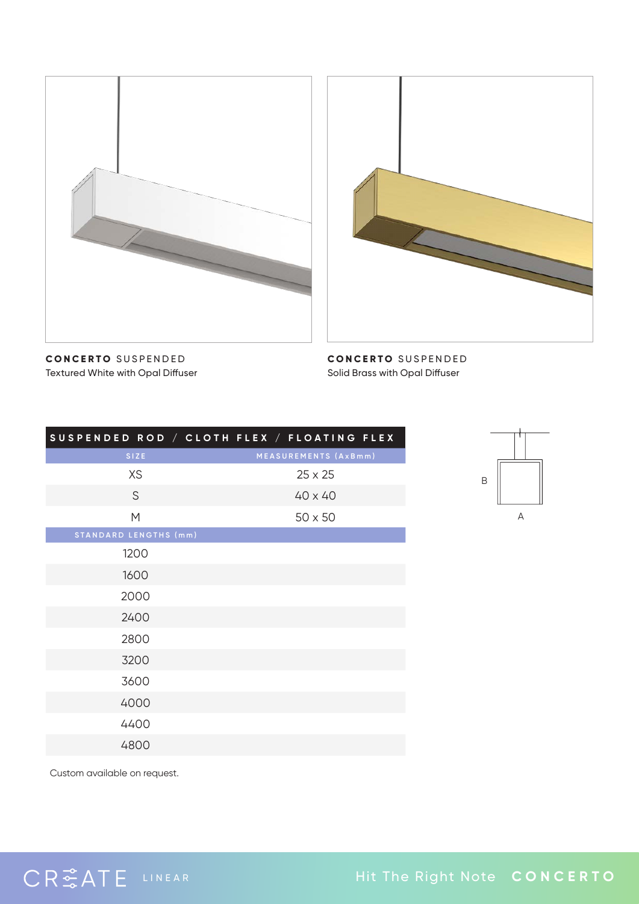



**CONCERTO** SUSPENDED Textured White with Opal Diffuser

**CONCERTO** SUSPENDED Solid Brass with Opal Diffuser

| SUSPENDED ROD / CLOTH FLEX / FLOATING FLEX |                      |  |
|--------------------------------------------|----------------------|--|
| SIZE                                       | MEASUREMENTS (AxBmm) |  |
| <b>XS</b>                                  | $25 \times 25$       |  |
| S                                          | $40 \times 40$       |  |
| M                                          | $50 \times 50$       |  |
| <b>STANDARD LENGTHS (mm)</b>               |                      |  |
| 1200                                       |                      |  |
| 1600                                       |                      |  |
| 2000                                       |                      |  |
| 2400                                       |                      |  |
| 2800                                       |                      |  |
| 3200                                       |                      |  |
| 3600                                       |                      |  |
| 4000                                       |                      |  |
| 4400                                       |                      |  |
| 4800                                       |                      |  |



Custom available on request.

CRSATE LINEAR